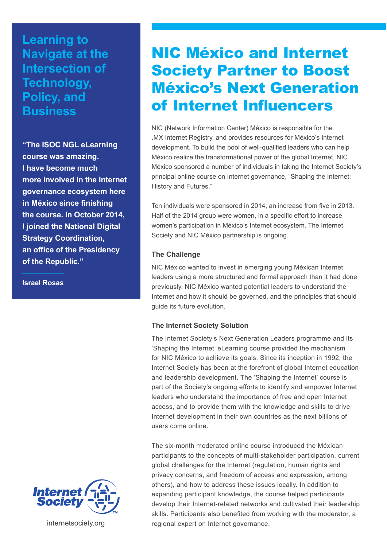## **Learning to Navigate at the Intersection of Technology, Policy, and Business**

**"The ISOC NGL eLearning course was amazing. I have become much more involved in the Internet governance ecosystem here in México since finishing the course. In October 2014, I joined the National Digital Strategy Coordination, an office of the Presidency of the Republic."** 

**Israel Rosas**



internetsociety.org

# NIC México and Internet Society Partner to Boost México's Next Generation of Internet Influencers

NIC (Network Information Center) México is responsible for the .MX Internet Registry, and provides resources for México's Internet development. To build the pool of well-qualified leaders who can help México realize the transformational power of the global Internet, NIC México sponsored a number of individuals in taking the Internet Society's principal online course on Internet governance, "Shaping the Internet: History and Futures."

Ten individuals were sponsored in 2014, an increase from five in 2013. Half of the 2014 group were women, in a specific effort to increase women's participation in México's Internet ecosystem. The Internet Society and NIC México partnership is ongoing.

### **The Challenge**

NIC México wanted to invest in emerging young Méxican Internet leaders using a more structured and formal approach than it had done previously. NIC México wanted potential leaders to understand the Internet and how it should be governed, and the principles that should guide its future evolution.

### **The Internet Society Solution**

The Internet Society's Next Generation Leaders programme and its 'Shaping the Internet' eLearning course provided the mechanism for NIC México to achieve its goals. Since its inception in 1992, the Internet Society has been at the forefront of global Internet education and leadership development. The 'Shaping the Internet' course is part of the Society's ongoing efforts to identify and empower Internet leaders who understand the importance of free and open Internet access, and to provide them with the knowledge and skills to drive Internet development in their own countries as the next billions of users come online.

The six-month moderated online course introduced the Méxican participants to the concepts of multi-stakeholder participation, current global challenges for the Internet (regulation, human rights and privacy concerns, and freedom of access and expression, among others), and how to address these issues locally. In addition to expanding participant knowledge, the course helped participants develop their Internet-related networks and cultivated their leadership skills. Participants also benefited from working with the moderator, a regional expert on Internet governance.